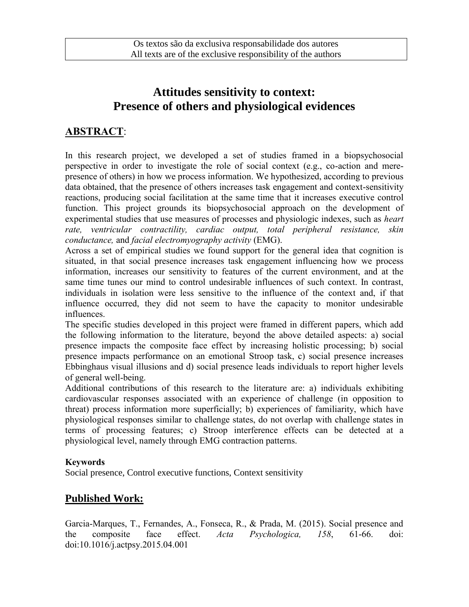# **Attitudes sensitivity to context: Presence of others and physiological evidences**

## **ABSTRACT**:

In this research project, we developed a set of studies framed in a biopsychosocial perspective in order to investigate the role of social context (e.g., co-action and merepresence of others) in how we process information. We hypothesized, according to previous data obtained, that the presence of others increases task engagement and context-sensitivity reactions, producing social facilitation at the same time that it increases executive control function. This project grounds its biopsychosocial approach on the development of experimental studies that use measures of processes and physiologic indexes, such as *heart rate, ventricular contractility, cardiac output, total peripheral resistance, skin conductance,* and *facial electromyography activity* (EMG).

Across a set of empirical studies we found support for the general idea that cognition is situated, in that social presence increases task engagement influencing how we process information, increases our sensitivity to features of the current environment, and at the same time tunes our mind to control undesirable influences of such context. In contrast, individuals in isolation were less sensitive to the influence of the context and, if that influence occurred, they did not seem to have the capacity to monitor undesirable influences.

The specific studies developed in this project were framed in different papers, which add the following information to the literature, beyond the above detailed aspects: a) social presence impacts the composite face effect by increasing holistic processing; b) social presence impacts performance on an emotional Stroop task, c) social presence increases Ebbinghaus visual illusions and d) social presence leads individuals to report higher levels of general well-being.

Additional contributions of this research to the literature are: a) individuals exhibiting cardiovascular responses associated with an experience of challenge (in opposition to threat) process information more superficially; b) experiences of familiarity, which have physiological responses similar to challenge states, do not overlap with challenge states in terms of processing features; c) Stroop interference effects can be detected at a physiological level, namely through EMG contraction patterns.

## **Keywords**

Social presence, Control executive functions, Context sensitivity

## **Published Work:**

Garcia-Marques, T., Fernandes, A., Fonseca, R., & Prada, M. (2015). Social presence and the composite face effect. *Acta Psychologica, 158*, 61-66. doi: doi:10.1016/j.actpsy.2015.04.001